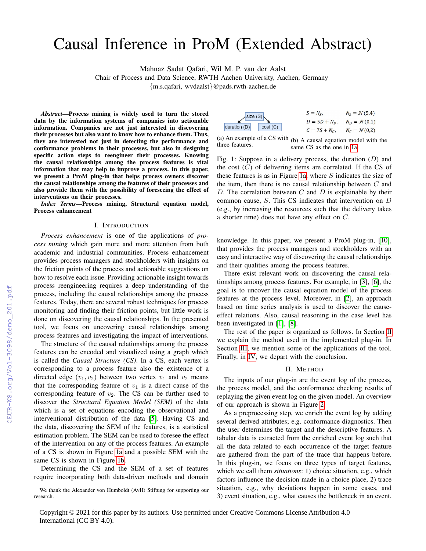# Causal Inference in ProM (Extended Abstract)

Mahnaz Sadat Qafari, Wil M. P. van der Aalst

Chair of Process and Data Science, RWTH Aachen University, Aachen, Germany

{m.s.qafari, wvdaalst}@pads.rwth-aachen.de

*Abstract*—Process mining is widely used to turn the stored data by the information systems of companies into actionable information. Companies are not just interested in discovering their processes but also want to know how to enhance them. Thus, they are interested not just in detecting the performance and conformance problems in their processes, but also in designing specific action steps to reengineer their processes. Knowing the causal relationships among the process features is vital information that may help to improve a process. In this paper, we present a ProM plug-in that helps process owners discover the causal relationships among the features of their processes and also provide them with the possibility of foreseeing the effect of interventions on their processes.

*Index Terms*—Process mining, Structural equation model, Process enhancement

#### I. INTRODUCTION

*Process enhancement* is one of the applications of *process mining* which gain more and more attention from both academic and industrial communities. Process enhancement provides process managers and stockholders with insights on the friction points of the process and actionable suggestions on how to resolve each issue. Providing actionable insight towards process reengineering requires a deep understanding of the process, including the causal relationships among the process features. Today, there are several robust techniques for process monitoring and finding their friction points, but little work is done on discovering the causal relationships. In the presented tool, we focus on uncovering causal relationships among process features and investigating the impact of interventions.

The structure of the causal relationships among the process features can be encoded and visualized using a graph which is called the *Causal Structure (CS)*. In a CS, each vertex is corresponding to a process feature also the existence of a directed edge  $(v_1, v_2)$  between two vertex  $v_1$  and  $v_2$  means that the corresponding feature of  $v_1$  is a direct cause of the corresponding feature of  $v_2$ . The CS can be further used to discover the *Structural Equation Model (SEM)* of the data which is a set of equations encoding the observational and interventional distribution of the data [\[5\]](#page--1-0). Having CS and the data, discovering the SEM of the features, is a statistical estimation problem. The SEM can be used to foresee the effect of the intervention on any of the process features. An example of a CS is shown in Figure [1a](#page-0-0) and a possible SEM with the same CS is shown in Figure [1b.](#page-0-0)

Determining the CS and the SEM of a set of features require incorporating both data-driven methods and domain

We thank the Alexander von Humboldt (AvH) Stiftung for supporting our research.

<span id="page-0-0"></span>

| $\frac{1}{s}$ size (S) |         | $S = N_{\rm c}$ | $N_{\rm S} = \mathcal{N}(5,4)$ |
|------------------------|---------|-----------------|--------------------------------|
|                        |         | $D = 5D + N_D$  | $N_D = \mathcal{N}(0,1)$       |
| duration $(D)$         | cost(G) | $C = 7S + N_C$  | $N_c = \mathcal{N}(0,2)$       |

(a) An example of a CS with  $(b)$  A causal equation model with the three features. same CS as the one in [1a.](#page-0-0)

Fig. 1: Suppose in a delivery process, the duration  $(D)$  and the cost  $(C)$  of delivering items are correlated. If the CS of these features is as in Figure [1a,](#page-0-0) where  $S$  indicates the size of the item, then there is no causal relationship between  $C$  and D. The correlation between  $C$  and  $D$  is explainable by their common cause, S. This CS indicates that intervention on D (e.g., by increasing the resources such that the delivery takes a shorter time) does not have any effect on C.

knowledge. In this paper, we present a ProM plug-in, [\[10\]](#page--1-1), that provides the process managers and stockholders with an easy and interactive way of discovering the causal relationships and their qualities among the process features.

There exist relevant work on discovering the causal relationships among process features. For example, in [\[3\]](#page--1-2), [\[6\]](#page--1-3), the goal is to uncover the causal equation model of the process features at the process level. Moreover, in [\[2\]](#page--1-4), an approach based on time series analysis is used to discover the causeeffect relations. Also, causal reasoning in the case level has been investigated in [\[1\]](#page--1-5), [\[8\]](#page--1-6).

The rest of the paper is organized as follows. In Section [II](#page-0-1) we explain the method used in the implemented plug-in. In Section [III,](#page--1-7) we mention some of the applications of the tool. Finally, in [IV,](#page--1-8) we depart with the conclusion.

### II. METHOD

<span id="page-0-1"></span>The inputs of our plug-in are the event log of the process, the process model, and the conformance checking results of replaying the given event log on the given model. An overview of our approach is shown in Figure [2.](#page--1-9)

As a preprocessing step, we enrich the event log by adding several derived attributes; e.g. conformance diagnostics. Then the user determines the target and the descriptive features. A tabular data is extracted from the enriched event log such that all the data related to each occurrence of the target feature are gathered from the part of the trace that happens before. In this plug-in, we focus on three types of target features, which we call them *situations*: 1) choice situation, e.g., which factors influence the decision made in a choice place, 2) trace situation, e.g., why deviations happen in some cases, and 3) event situation, e.g., what causes the bottleneck in an event.

Copyright © 2021 for this paper by its authors. Use permitted under Creative Commons License Attribution 4.0 International (CC BY 4.0).